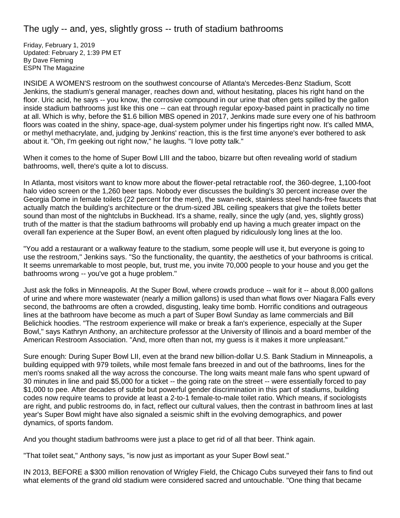## The ugly -- and, yes, slightly gross -- truth of stadium bathrooms

Friday, February 1, 2019 Updated: February 2, 1:39 PM ET By Dave Fleming ESPN The Magazine

INSIDE A WOMEN'S restroom on the southwest concourse of Atlanta's Mercedes-Benz Stadium, Scott Jenkins, the stadium's general manager, reaches down and, without hesitating, places his right hand on the floor. Uric acid, he says -- you know, the corrosive compound in our urine that often gets spilled by the gallon inside stadium bathrooms just like this one -- can eat through regular epoxy-based paint in practically no time at all. Which is why, before the \$1.6 billion MBS opened in 2017, Jenkins made sure every one of his bathroom floors was coated in the shiny, space-age, dual-system polymer under his fingertips right now. It's called MMA, or methyl methacrylate, and, judging by Jenkins' reaction, this is the first time anyone's ever bothered to ask about it. "Oh, I'm geeking out right now," he laughs. "I love potty talk."

When it comes to the home of Super Bowl LIII and the taboo, bizarre but often revealing world of stadium bathrooms, well, there's quite a lot to discuss.

In Atlanta, most visitors want to know more about the flower-petal retractable roof, the 360-degree, 1,100-foot halo video screen or the 1,260 beer taps. Nobody ever discusses the building's 30 percent increase over the Georgia Dome in female toilets (22 percent for the men), the swan-neck, stainless steel hands-free faucets that actually match the building's architecture or the drum-sized JBL ceiling speakers that give the toilets better sound than most of the nightclubs in Buckhead. It's a shame, really, since the ugly (and, yes, slightly gross) truth of the matter is that the stadium bathrooms will probably end up having a much greater impact on the overall fan experience at the Super Bowl, an event often plagued by ridiculously long lines at the loo.

"You add a restaurant or a walkway feature to the stadium, some people will use it, but everyone is going to use the restroom," Jenkins says. "So the functionality, the quantity, the aesthetics of your bathrooms is critical. It seems unremarkable to most people, but, trust me, you invite 70,000 people to your house and you get the bathrooms wrong -- you've got a huge problem."

Just ask the folks in Minneapolis. At the Super Bowl, where crowds produce -- wait for it -- about 8,000 gallons of urine and where more wastewater (nearly a million gallons) is used than what flows over Niagara Falls every second, the bathrooms are often a crowded, disgusting, leaky time bomb. Horrific conditions and outrageous lines at the bathroom have become as much a part of Super Bowl Sunday as lame commercials and Bill Belichick hoodies. "The restroom experience will make or break a fan's experience, especially at the Super Bowl," says Kathryn Anthony, an architecture professor at the University of Illinois and a board member of the American Restroom Association. "And, more often than not, my guess is it makes it more unpleasant."

Sure enough: During Super Bowl LII, even at the brand new billion-dollar U.S. Bank Stadium in Minneapolis, a building equipped with 979 toilets, while most female fans breezed in and out of the bathrooms, lines for the men's rooms snaked all the way across the concourse. The long waits meant male fans who spent upward of 30 minutes in line and paid \$5,000 for a ticket -- the going rate on the street -- were essentially forced to pay \$1,000 to pee. After decades of subtle but powerful gender discrimination in this part of stadiums, building codes now require teams to provide at least a 2-to-1 female-to-male toilet ratio. Which means, if sociologists are right, and public restrooms do, in fact, reflect our cultural values, then the contrast in bathroom lines at last year's Super Bowl might have also signaled a seismic shift in the evolving demographics, and power dynamics, of sports fandom.

And you thought stadium bathrooms were just a place to get rid of all that beer. Think again.

"That toilet seat," Anthony says, "is now just as important as your Super Bowl seat."

IN 2013, BEFORE a \$300 million renovation of Wrigley Field, the Chicago Cubs surveyed their fans to find out what elements of the grand old stadium were considered sacred and untouchable. "One thing that became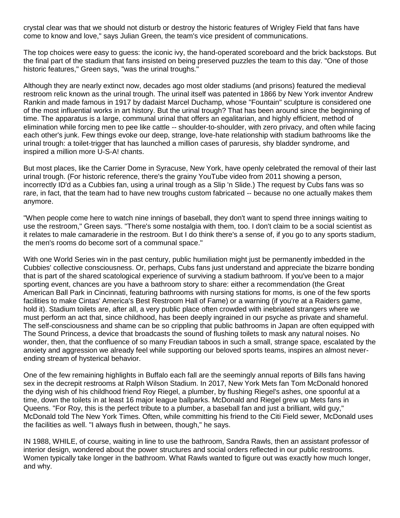crystal clear was that we should not disturb or destroy the historic features of Wrigley Field that fans have come to know and love," says Julian Green, the team's vice president of communications.

The top choices were easy to guess: the iconic ivy, the hand-operated scoreboard and the brick backstops. But the final part of the stadium that fans insisted on being preserved puzzles the team to this day. "One of those historic features," Green says, "was the urinal troughs."

Although they are nearly extinct now, decades ago most older stadiums (and prisons) featured the medieval restroom relic known as the urinal trough. The urinal itself was patented in 1866 by New York inventor Andrew Rankin and made famous in 1917 by dadaist Marcel Duchamp, whose "Fountain" sculpture is considered one of the most influential works in art history. But the urinal trough? That has been around since the beginning of time. The apparatus is a large, communal urinal that offers an egalitarian, and highly efficient, method of elimination while forcing men to pee like cattle -- shoulder-to-shoulder, with zero privacy, and often while facing each other's junk. Few things evoke our deep, strange, love-hate relationship with stadium bathrooms like the urinal trough: a toilet-trigger that has launched a million cases of paruresis, shy bladder syndrome, and inspired a million more U-S-A! chants.

But most places, like the Carrier Dome in Syracuse, New York, have openly celebrated the removal of their last urinal trough. (For historic reference, there's the grainy YouTube video from 2011 showing a person, incorrectly ID'd as a Cubbies fan, using a urinal trough as a Slip 'n Slide.) The request by Cubs fans was so rare, in fact, that the team had to have new troughs custom fabricated -- because no one actually makes them anymore.

"When people come here to watch nine innings of baseball, they don't want to spend three innings waiting to use the restroom," Green says. "There's some nostalgia with them, too. I don't claim to be a social scientist as it relates to male camaraderie in the restroom. But I do think there's a sense of, if you go to any sports stadium, the men's rooms do become sort of a communal space."

With one World Series win in the past century, public humiliation might just be permanently imbedded in the Cubbies' collective consciousness. Or, perhaps, Cubs fans just understand and appreciate the bizarre bonding that is part of the shared scatological experience of surviving a stadium bathroom. If you've been to a major sporting event, chances are you have a bathroom story to share: either a recommendation (the Great American Ball Park in Cincinnati, featuring bathrooms with nursing stations for moms, is one of the few sports facilities to make Cintas' America's Best Restroom Hall of Fame) or a warning (if you're at a Raiders game, hold it). Stadium toilets are, after all, a very public place often crowded with inebriated strangers where we must perform an act that, since childhood, has been deeply ingrained in our psyche as private and shameful. The self-consciousness and shame can be so crippling that public bathrooms in Japan are often equipped with The Sound Princess, a device that broadcasts the sound of flushing toilets to mask any natural noises. No wonder, then, that the confluence of so many Freudian taboos in such a small, strange space, escalated by the anxiety and aggression we already feel while supporting our beloved sports teams, inspires an almost neverending stream of hysterical behavior.

One of the few remaining highlights in Buffalo each fall are the seemingly annual reports of Bills fans having sex in the decrepit restrooms at Ralph Wilson Stadium. In 2017, New York Mets fan Tom McDonald honored the dying wish of his childhood friend Roy Riegel, a plumber, by flushing Riegel's ashes, one spoonful at a time, down the toilets in at least 16 major league ballparks. McDonald and Riegel grew up Mets fans in Queens. "For Roy, this is the perfect tribute to a plumber, a baseball fan and just a brilliant, wild guy," McDonald told The New York Times. Often, while committing his friend to the Citi Field sewer, McDonald uses the facilities as well. "I always flush in between, though," he says.

IN 1988, WHILE, of course, waiting in line to use the bathroom, Sandra Rawls, then an assistant professor of interior design, wondered about the power structures and social orders reflected in our public restrooms. Women typically take longer in the bathroom. What Rawls wanted to figure out was exactly how much longer, and why.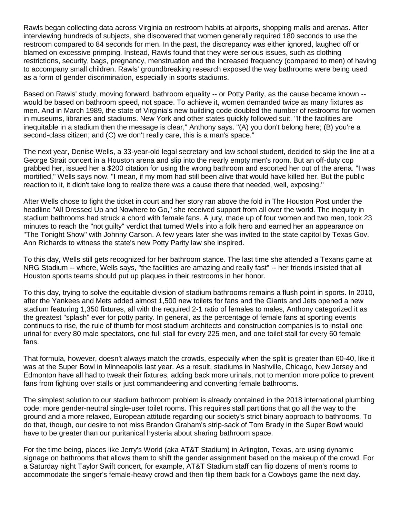Rawls began collecting data across Virginia on restroom habits at airports, shopping malls and arenas. After interviewing hundreds of subjects, she discovered that women generally required 180 seconds to use the restroom compared to 84 seconds for men. In the past, the discrepancy was either ignored, laughed off or blamed on excessive primping. Instead, Rawls found that they were serious issues, such as clothing restrictions, security, bags, pregnancy, menstruation and the increased frequency (compared to men) of having to accompany small children. Rawls' groundbreaking research exposed the way bathrooms were being used as a form of gender discrimination, especially in sports stadiums.

Based on Rawls' study, moving forward, bathroom equality -- or Potty Parity, as the cause became known - would be based on bathroom speed, not space. To achieve it, women demanded twice as many fixtures as men. And in March 1989, the state of Virginia's new building code doubled the number of restrooms for women in museums, libraries and stadiums. New York and other states quickly followed suit. "If the facilities are inequitable in a stadium then the message is clear," Anthony says. "(A) you don't belong here; (B) you're a second-class citizen; and (C) we don't really care, this is a man's space."

The next year, Denise Wells, a 33-year-old legal secretary and law school student, decided to skip the line at a George Strait concert in a Houston arena and slip into the nearly empty men's room. But an off-duty cop grabbed her, issued her a \$200 citation for using the wrong bathroom and escorted her out of the arena. "I was mortified," Wells says now. "I mean, if my mom had still been alive that would have killed her. But the public reaction to it, it didn't take long to realize there was a cause there that needed, well, exposing."

After Wells chose to fight the ticket in court and her story ran above the fold in The Houston Post under the headline "All Dressed Up and Nowhere to Go," she received support from all over the world. The inequity in stadium bathrooms had struck a chord with female fans. A jury, made up of four women and two men, took 23 minutes to reach the "not guilty" verdict that turned Wells into a folk hero and earned her an appearance on "The Tonight Show" with Johnny Carson. A few years later she was invited to the state capitol by Texas Gov. Ann Richards to witness the state's new Potty Parity law she inspired.

To this day, Wells still gets recognized for her bathroom stance. The last time she attended a Texans game at NRG Stadium -- where, Wells says, "the facilities are amazing and really fast" -- her friends insisted that all Houston sports teams should put up plaques in their restrooms in her honor.

To this day, trying to solve the equitable division of stadium bathrooms remains a flush point in sports. In 2010, after the Yankees and Mets added almost 1,500 new toilets for fans and the Giants and Jets opened a new stadium featuring 1,350 fixtures, all with the required 2-1 ratio of females to males, Anthony categorized it as the greatest "splash" ever for potty parity. In general, as the percentage of female fans at sporting events continues to rise, the rule of thumb for most stadium architects and construction companies is to install one urinal for every 80 male spectators, one full stall for every 225 men, and one toilet stall for every 60 female fans.

That formula, however, doesn't always match the crowds, especially when the split is greater than 60-40, like it was at the Super Bowl in Minneapolis last year. As a result, stadiums in Nashville, Chicago, New Jersey and Edmonton have all had to tweak their fixtures, adding back more urinals, not to mention more police to prevent fans from fighting over stalls or just commandeering and converting female bathrooms.

The simplest solution to our stadium bathroom problem is already contained in the 2018 international plumbing code: more gender-neutral single-user toilet rooms. This requires stall partitions that go all the way to the ground and a more relaxed, European attitude regarding our society's strict binary approach to bathrooms. To do that, though, our desire to not miss Brandon Graham's strip-sack of Tom Brady in the Super Bowl would have to be greater than our puritanical hysteria about sharing bathroom space.

For the time being, places like Jerry's World (aka AT&T Stadium) in Arlington, Texas, are using dynamic signage on bathrooms that allows them to shift the gender assignment based on the makeup of the crowd. For a Saturday night Taylor Swift concert, for example, AT&T Stadium staff can flip dozens of men's rooms to accommodate the singer's female-heavy crowd and then flip them back for a Cowboys game the next day.